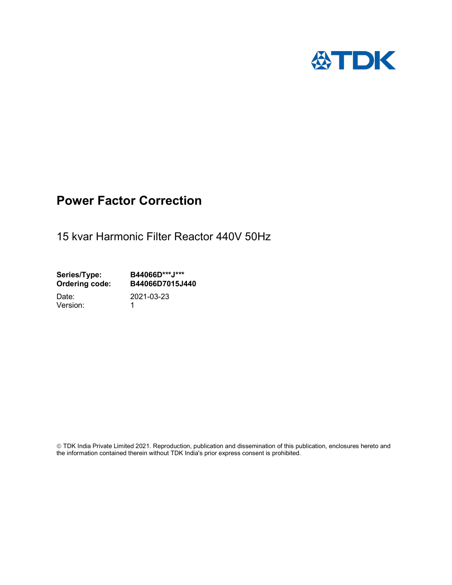

## Power Factor Correction

15 kvar Harmonic Filter Reactor 440V 50Hz

Series/Type: B44066D\*\*\*J\*\*\*<br>Ordering code: B44066D7015J4 B44066D7015J440 Date: 2021-03-23

Version: 1

 TDK India Private Limited 2021. Reproduction, publication and dissemination of this publication, enclosures hereto and the information contained therein without TDK India's prior express consent is prohibited.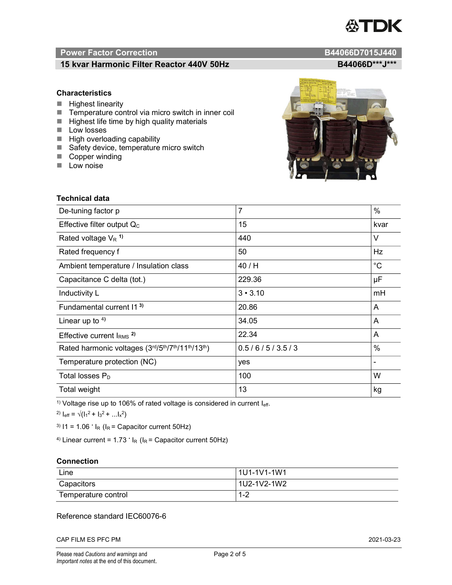# TDK

### Power Factor Correction and Content of the Content of the B44066D7015J440

#### 15 kvar Harmonic Filter Reactor 440V 50Hz B44066D\*\*\*J\*\*\*

#### **Characteristics**

- $\blacksquare$  Highest linearity
- Temperature control via micro switch in inner coil
- $\blacksquare$  Highest life time by high quality materials
- **Low losses**
- $\blacksquare$  High overloading capability
- Safety device, temperature micro switch
- Copper winding
- **Low noise**

| <b>Technical data</b>                           |                |             |  |
|-------------------------------------------------|----------------|-------------|--|
| De-tuning factor p                              | $\overline{7}$ | %           |  |
| Effective filter output $Q_C$                   | 15             | kvar        |  |
| Rated voltage $V_R$ <sup>1)</sup>               | 440            | V           |  |
| Rated frequency f                               | 50             | Hz          |  |
| Ambient temperature / Insulation class          | 40 / H         | $^{\circ}C$ |  |
| Capacitance C delta (tot.)                      | 229.36         | μF          |  |
| Inductivity L                                   | $3 \cdot 3.10$ | mH          |  |
| Fundamental current 11 <sup>3)</sup>            | 20.86          | A           |  |
| Linear up to $4$ )                              | 34.05          | A           |  |
| Effective current $IRMS$ <sup>2)</sup>          | 22.34          | A           |  |
| Rated harmonic voltages (3rd/5th/7th/11th/13th) | 0.5/6/5/3.5/3  | %           |  |
| Temperature protection (NC)                     | yes            |             |  |
| Total losses $P_D$                              | 100            | W           |  |
| Total weight                                    | 13             | kg          |  |

<sup>1)</sup> Voltage rise up to 106% of rated voltage is considered in current  $I_{\text{eff}}$ .

<sup>2)</sup>  $I_{eff} = \sqrt{(I_1^2 + I_3^2 + ... I_x^2)}$ 

<sup>3)</sup>  $11 = 1.06$   $\cdot$   $I_R$  ( $I_R$  = Capacitor current 50Hz)

<sup>4)</sup> Linear current =  $1.73$   $\cdot$  I<sub>R</sub> (I<sub>R</sub> = Capacitor current 50Hz)

#### **Connection**

| Line                | l 1U1-1V1-1W1 |
|---------------------|---------------|
| Capacitors          | l 1U2-1V2-1W2 |
| Temperature control | 1 O<br>ے- ا   |

#### Reference standard IEC60076-6

CAP FILM ES PFC PM 2021-03-23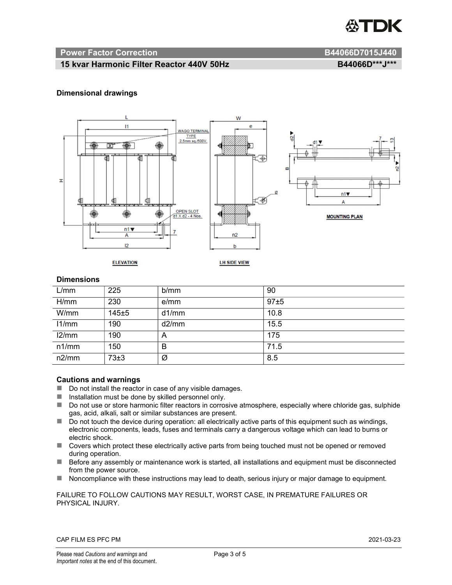

#### Power Factor Correction and B44066D7015J440

#### 15 kvar Harmonic Filter Reactor 440V 50Hz B44066D\*\*\*J\*\*\* B44066D\*\*\*J\*\*\*

#### Dimensional drawings



#### **Dimensions**

| L/mm  | 225   | b/mm  | 90   |
|-------|-------|-------|------|
| H/mm  | 230   | e/mm  | 97±5 |
| W/mm  | 145±5 | d1/mm | 10.8 |
| 11/mm | 190   | d2/mm | 15.5 |
| 12/mm | 190   | A     | 175  |
| n1/mm | 150   | B     | 71.5 |
| n2/mm | 73±3  | Ø     | 8.5  |

#### Cautions and warnings

- Do not install the reactor in case of any visible damages.
- $\blacksquare$  Installation must be done by skilled personnel only.
- Do not use or store harmonic filter reactors in corrosive atmosphere, especially where chloride gas, sulphide gas, acid, alkali, salt or similar substances are present.
- $\Box$  Do not touch the device during operation: all electrically active parts of this equipment such as windings, electronic components, leads, fuses and terminals carry a dangerous voltage which can lead to burns or electric shock.
- Covers which protect these electrically active parts from being touched must not be opened or removed during operation.
- Before any assembly or maintenance work is started, all installations and equipment must be disconnected from the power source.
- Noncompliance with these instructions may lead to death, serious injury or major damage to equipment.

#### FAILURE TO FOLLOW CAUTIONS MAY RESULT, WORST CASE, IN PREMATURE FAILURES OR PHYSICAL INJURY.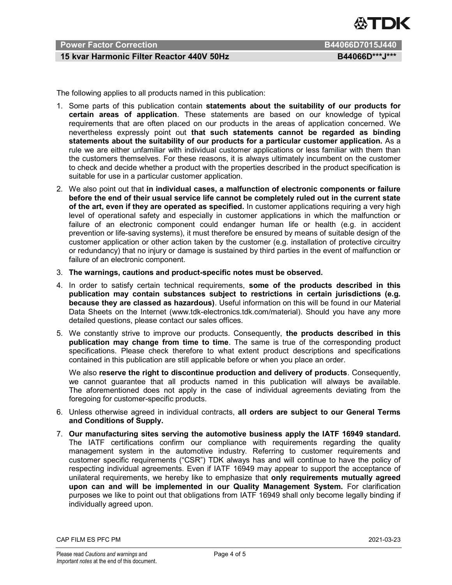

#### Power Factor Correction B44066D7015J440

#### 15 kvar Harmonic Filter Reactor 440V 50Hz B44066D\*\*\*J\*\*\*

The following applies to all products named in this publication:

- 1. Some parts of this publication contain statements about the suitability of our products for certain areas of application. These statements are based on our knowledge of typical requirements that are often placed on our products in the areas of application concerned. We nevertheless expressly point out that such statements cannot be regarded as binding statements about the suitability of our products for a particular customer application. As a rule we are either unfamiliar with individual customer applications or less familiar with them than the customers themselves. For these reasons, it is always ultimately incumbent on the customer to check and decide whether a product with the properties described in the product specification is suitable for use in a particular customer application.
- 2. We also point out that in individual cases, a malfunction of electronic components or failure before the end of their usual service life cannot be completely ruled out in the current state of the art, even if they are operated as specified. In customer applications requiring a very high level of operational safety and especially in customer applications in which the malfunction or failure of an electronic component could endanger human life or health (e.g. in accident prevention or life-saving systems), it must therefore be ensured by means of suitable design of the customer application or other action taken by the customer (e.g. installation of protective circuitry or redundancy) that no injury or damage is sustained by third parties in the event of malfunction or failure of an electronic component.
- 3. The warnings, cautions and product-specific notes must be observed.
- 4. In order to satisfy certain technical requirements, some of the products described in this publication may contain substances subject to restrictions in certain jurisdictions (e.g. because they are classed as hazardous). Useful information on this will be found in our Material Data Sheets on the Internet (www.tdk-electronics.tdk.com/material). Should you have any more detailed questions, please contact our sales offices.
- 5. We constantly strive to improve our products. Consequently, the products described in this publication may change from time to time. The same is true of the corresponding product specifications. Please check therefore to what extent product descriptions and specifications contained in this publication are still applicable before or when you place an order.

We also reserve the right to discontinue production and delivery of products. Consequently, we cannot guarantee that all products named in this publication will always be available. The aforementioned does not apply in the case of individual agreements deviating from the foregoing for customer-specific products.

- 6. Unless otherwise agreed in individual contracts, all orders are subject to our General Terms and Conditions of Supply.
- 7. Our manufacturing sites serving the automotive business apply the IATF 16949 standard. The IATF certifications confirm our compliance with requirements regarding the quality management system in the automotive industry. Referring to customer requirements and customer specific requirements ("CSR") TDK always has and will continue to have the policy of respecting individual agreements. Even if IATF 16949 may appear to support the acceptance of unilateral requirements, we hereby like to emphasize that only requirements mutually agreed upon can and will be implemented in our Quality Management System. For clarification purposes we like to point out that obligations from IATF 16949 shall only become legally binding if individually agreed upon.